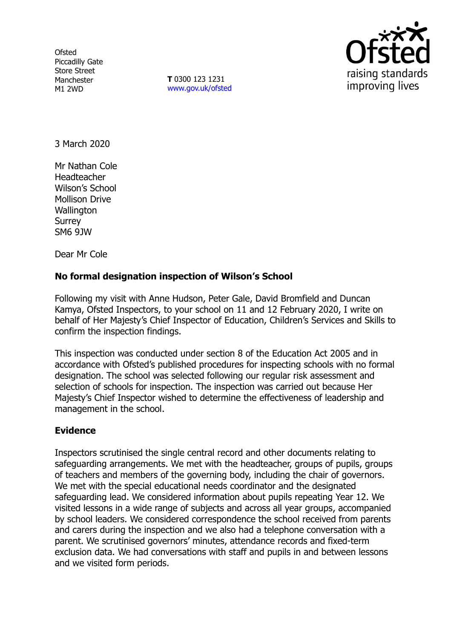**Ofsted** Piccadilly Gate Store Street Manchester M1 2WD

**T** 0300 123 1231 [www.gov.uk/ofsted](http://www.gov.uk/ofsted)



3 March 2020

Mr Nathan Cole Headteacher Wilson's School Mollison Drive **Wallington** Surrey SM6 9JW

Dear Mr Cole

## **No formal designation inspection of Wilson's School**

Following my visit with Anne Hudson, Peter Gale, David Bromfield and Duncan Kamya, Ofsted Inspectors, to your school on 11 and 12 February 2020, I write on behalf of Her Majesty's Chief Inspector of Education, Children's Services and Skills to confirm the inspection findings.

This inspection was conducted under section 8 of the Education Act 2005 and in accordance with Ofsted's published procedures for inspecting schools with no formal designation. The school was selected following our regular risk assessment and selection of schools for inspection. The inspection was carried out because Her Majesty's Chief Inspector wished to determine the effectiveness of leadership and management in the school.

## **Evidence**

Inspectors scrutinised the single central record and other documents relating to safeguarding arrangements. We met with the headteacher, groups of pupils, groups of teachers and members of the governing body, including the chair of governors. We met with the special educational needs coordinator and the designated safeguarding lead. We considered information about pupils repeating Year 12. We visited lessons in a wide range of subjects and across all year groups, accompanied by school leaders. We considered correspondence the school received from parents and carers during the inspection and we also had a telephone conversation with a parent. We scrutinised governors' minutes, attendance records and fixed-term exclusion data. We had conversations with staff and pupils in and between lessons and we visited form periods.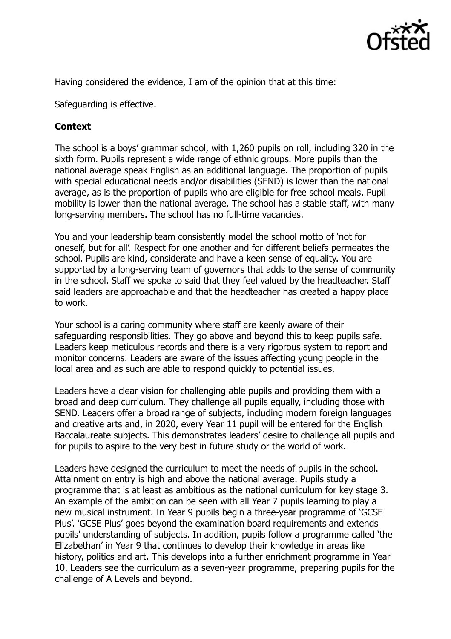

Having considered the evidence, I am of the opinion that at this time:

Safeguarding is effective.

## **Context**

The school is a boys' grammar school, with 1,260 pupils on roll, including 320 in the sixth form. Pupils represent a wide range of ethnic groups. More pupils than the national average speak English as an additional language. The proportion of pupils with special educational needs and/or disabilities (SEND) is lower than the national average, as is the proportion of pupils who are eligible for free school meals. Pupil mobility is lower than the national average. The school has a stable staff, with many long-serving members. The school has no full-time vacancies.

You and your leadership team consistently model the school motto of 'not for oneself, but for all'. Respect for one another and for different beliefs permeates the school. Pupils are kind, considerate and have a keen sense of equality. You are supported by a long-serving team of governors that adds to the sense of community in the school. Staff we spoke to said that they feel valued by the headteacher. Staff said leaders are approachable and that the headteacher has created a happy place to work.

Your school is a caring community where staff are keenly aware of their safeguarding responsibilities. They go above and beyond this to keep pupils safe. Leaders keep meticulous records and there is a very rigorous system to report and monitor concerns. Leaders are aware of the issues affecting young people in the local area and as such are able to respond quickly to potential issues.

Leaders have a clear vision for challenging able pupils and providing them with a broad and deep curriculum. They challenge all pupils equally, including those with SEND. Leaders offer a broad range of subjects, including modern foreign languages and creative arts and, in 2020, every Year 11 pupil will be entered for the English Baccalaureate subjects. This demonstrates leaders' desire to challenge all pupils and for pupils to aspire to the very best in future study or the world of work.

Leaders have designed the curriculum to meet the needs of pupils in the school. Attainment on entry is high and above the national average. Pupils study a programme that is at least as ambitious as the national curriculum for key stage 3. An example of the ambition can be seen with all Year 7 pupils learning to play a new musical instrument. In Year 9 pupils begin a three-year programme of 'GCSE Plus'. 'GCSE Plus' goes beyond the examination board requirements and extends pupils' understanding of subjects. In addition, pupils follow a programme called 'the Elizabethan' in Year 9 that continues to develop their knowledge in areas like history, politics and art. This develops into a further enrichment programme in Year 10. Leaders see the curriculum as a seven-year programme, preparing pupils for the challenge of A Levels and beyond.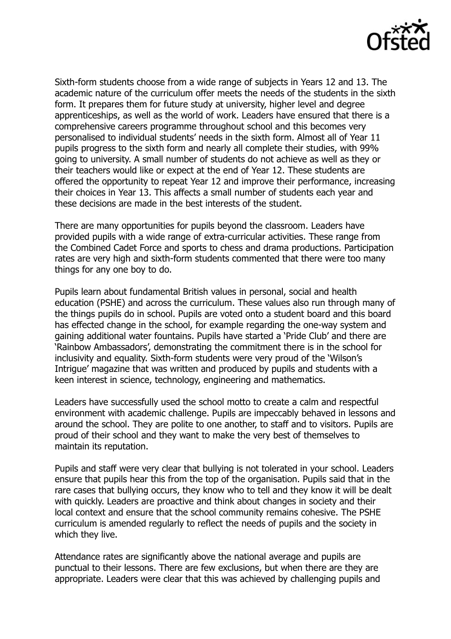

Sixth-form students choose from a wide range of subjects in Years 12 and 13. The academic nature of the curriculum offer meets the needs of the students in the sixth form. It prepares them for future study at university, higher level and degree apprenticeships, as well as the world of work. Leaders have ensured that there is a comprehensive careers programme throughout school and this becomes very personalised to individual students' needs in the sixth form. Almost all of Year 11 pupils progress to the sixth form and nearly all complete their studies, with 99% going to university. A small number of students do not achieve as well as they or their teachers would like or expect at the end of Year 12. These students are offered the opportunity to repeat Year 12 and improve their performance, increasing their choices in Year 13. This affects a small number of students each year and these decisions are made in the best interests of the student.

There are many opportunities for pupils beyond the classroom. Leaders have provided pupils with a wide range of extra-curricular activities. These range from the Combined Cadet Force and sports to chess and drama productions. Participation rates are very high and sixth-form students commented that there were too many things for any one boy to do.

Pupils learn about fundamental British values in personal, social and health education (PSHE) and across the curriculum. These values also run through many of the things pupils do in school. Pupils are voted onto a student board and this board has effected change in the school, for example regarding the one-way system and gaining additional water fountains. Pupils have started a 'Pride Club' and there are 'Rainbow Ambassadors', demonstrating the commitment there is in the school for inclusivity and equality. Sixth-form students were very proud of the 'Wilson's Intrigue' magazine that was written and produced by pupils and students with a keen interest in science, technology, engineering and mathematics.

Leaders have successfully used the school motto to create a calm and respectful environment with academic challenge. Pupils are impeccably behaved in lessons and around the school. They are polite to one another, to staff and to visitors. Pupils are proud of their school and they want to make the very best of themselves to maintain its reputation.

Pupils and staff were very clear that bullying is not tolerated in your school. Leaders ensure that pupils hear this from the top of the organisation. Pupils said that in the rare cases that bullying occurs, they know who to tell and they know it will be dealt with quickly. Leaders are proactive and think about changes in society and their local context and ensure that the school community remains cohesive. The PSHE curriculum is amended regularly to reflect the needs of pupils and the society in which they live.

Attendance rates are significantly above the national average and pupils are punctual to their lessons. There are few exclusions, but when there are they are appropriate. Leaders were clear that this was achieved by challenging pupils and